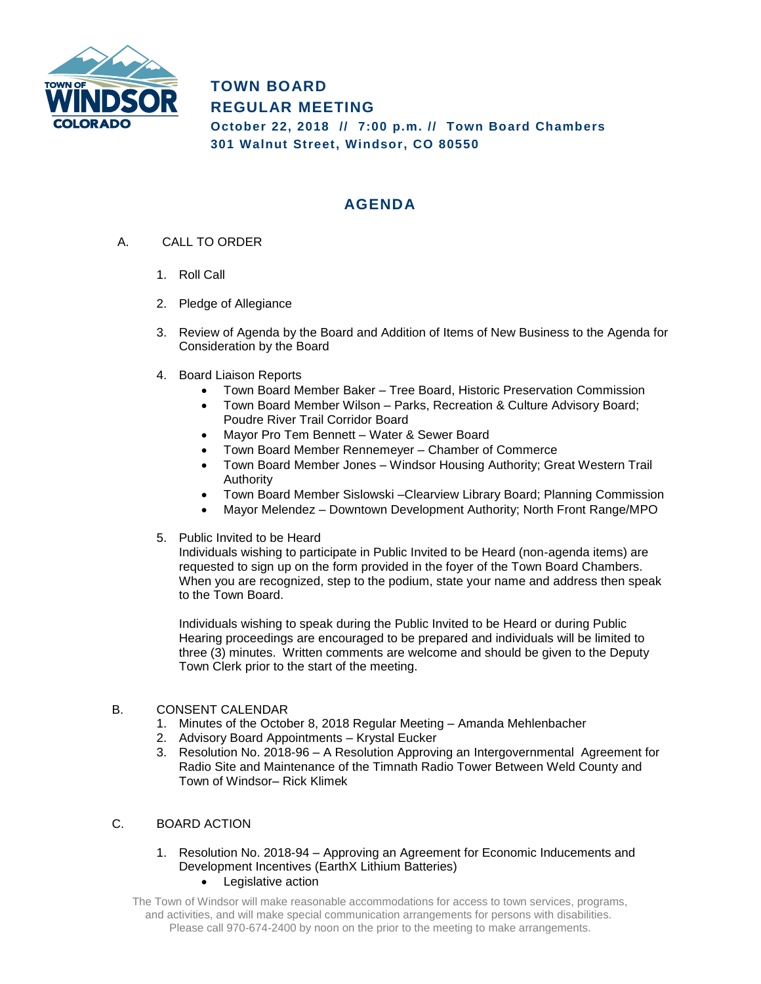

**TOWN BOARD REGULAR MEETING October 22, 2018 // 7:00 p.m. // Town Board Chambers 301 Walnut Street, Windsor, CO 80550**

## **AGENDA**

- A. CALL TO ORDER
	- 1. Roll Call
	- 2. Pledge of Allegiance
	- 3. Review of Agenda by the Board and Addition of Items of New Business to the Agenda for Consideration by the Board
	- 4. Board Liaison Reports
		- Town Board Member Baker Tree Board, Historic Preservation Commission
		- Town Board Member Wilson Parks, Recreation & Culture Advisory Board; Poudre River Trail Corridor Board
		- Mayor Pro Tem Bennett Water & Sewer Board
		- Town Board Member Rennemeyer Chamber of Commerce
		- Town Board Member Jones Windsor Housing Authority; Great Western Trail Authority
		- Town Board Member Sislowski –Clearview Library Board; Planning Commission
		- Mayor Melendez Downtown Development Authority; North Front Range/MPO
	- 5. Public Invited to be Heard

Individuals wishing to participate in Public Invited to be Heard (non-agenda items) are requested to sign up on the form provided in the foyer of the Town Board Chambers. When you are recognized, step to the podium, state your name and address then speak to the Town Board.

Individuals wishing to speak during the Public Invited to be Heard or during Public Hearing proceedings are encouraged to be prepared and individuals will be limited to three (3) minutes. Written comments are welcome and should be given to the Deputy Town Clerk prior to the start of the meeting.

## B. CONSENT CALENDAR

- 1. Minutes of the October 8, 2018 Regular Meeting Amanda Mehlenbacher
- 2. Advisory Board Appointments Krystal Eucker
- 3. Resolution No. 2018-96 A Resolution Approving an Intergovernmental Agreement for Radio Site and Maintenance of the Timnath Radio Tower Between Weld County and Town of Windsor– Rick Klimek

## C. BOARD ACTION

## 1. Resolution No. 2018-94 – Approving an Agreement for Economic Inducements and Development Incentives (EarthX Lithium Batteries) • Legislative action

The Town of Windsor will make reasonable accommodations for access to town services, programs, and activities, and will make special communication arrangements for persons with disabilities. Please call 970-674-2400 by noon on the prior to the meeting to make arrangements.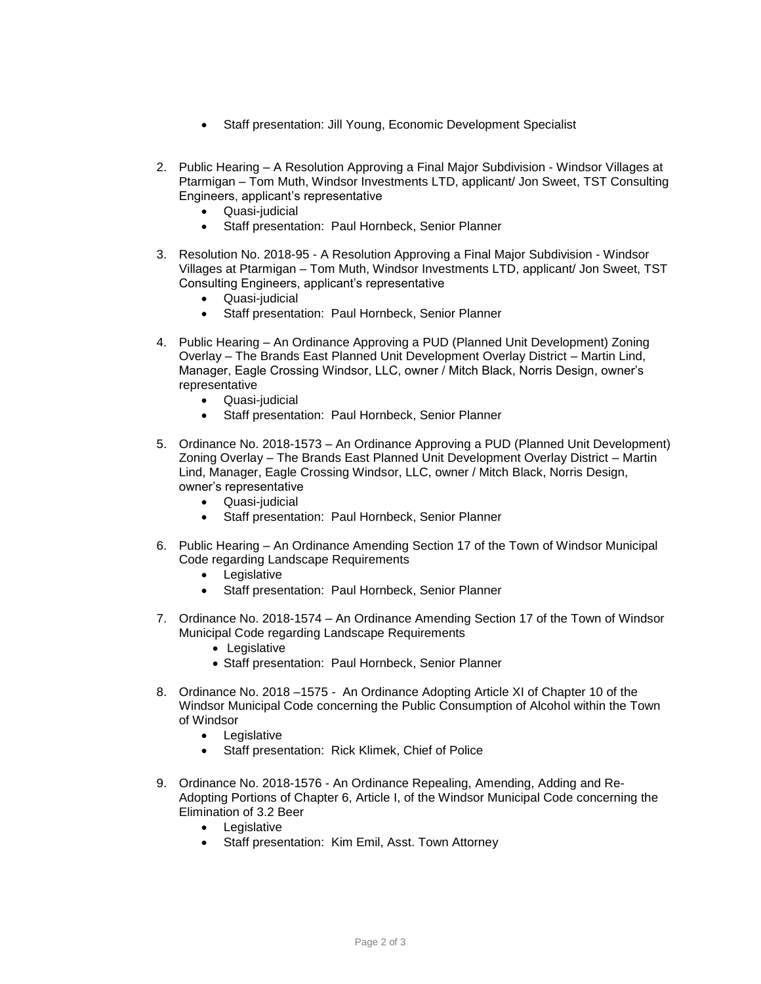- Staff presentation: Jill Young, Economic Development Specialist
- 2. Public Hearing A Resolution Approving a Final Major Subdivision Windsor Villages at Ptarmigan – Tom Muth, Windsor Investments LTD, applicant/ Jon Sweet, TST Consulting Engineers, applicant's representative
	- Quasi-judicial
	- Staff presentation: Paul Hornbeck, Senior Planner
- 3. Resolution No. 2018-95 A Resolution Approving a Final Major Subdivision Windsor Villages at Ptarmigan – Tom Muth, Windsor Investments LTD, applicant/ Jon Sweet, TST Consulting Engineers, applicant's representative
	- Quasi-judicial
	- Staff presentation: Paul Hornbeck, Senior Planner
- 4. Public Hearing An Ordinance Approving a PUD (Planned Unit Development) Zoning Overlay – The Brands East Planned Unit Development Overlay District – Martin Lind, Manager, Eagle Crossing Windsor, LLC, owner / Mitch Black, Norris Design, owner's representative
	- Quasi-judicial
	- Staff presentation: Paul Hornbeck, Senior Planner
- 5. Ordinance No. 2018-1573 An Ordinance Approving a PUD (Planned Unit Development) Zoning Overlay – The Brands East Planned Unit Development Overlay District – Martin Lind, Manager, Eagle Crossing Windsor, LLC, owner / Mitch Black, Norris Design, owner's representative
	- Quasi-judicial
	- Staff presentation: Paul Hornbeck, Senior Planner
- 6. Public Hearing An Ordinance Amending Section 17 of the Town of Windsor Municipal Code regarding Landscape Requirements
	- Legislative
	- Staff presentation: Paul Hornbeck, Senior Planner
- 7. Ordinance No. 2018-1574 An Ordinance Amending Section 17 of the Town of Windsor Municipal Code regarding Landscape Requirements
	- Legislative
	- Staff presentation: Paul Hornbeck, Senior Planner
- 8. Ordinance No. 2018 –1575 An Ordinance Adopting Article XI of Chapter 10 of the Windsor Municipal Code concerning the Public Consumption of Alcohol within the Town of Windsor
	- Legislative
	- Staff presentation: Rick Klimek, Chief of Police
- 9. Ordinance No. 2018-1576 An Ordinance Repealing, Amending, Adding and Re-Adopting Portions of Chapter 6, Article I, of the Windsor Municipal Code concerning the Elimination of 3.2 Beer
	- Legislative
	- Staff presentation: Kim Emil, Asst. Town Attorney